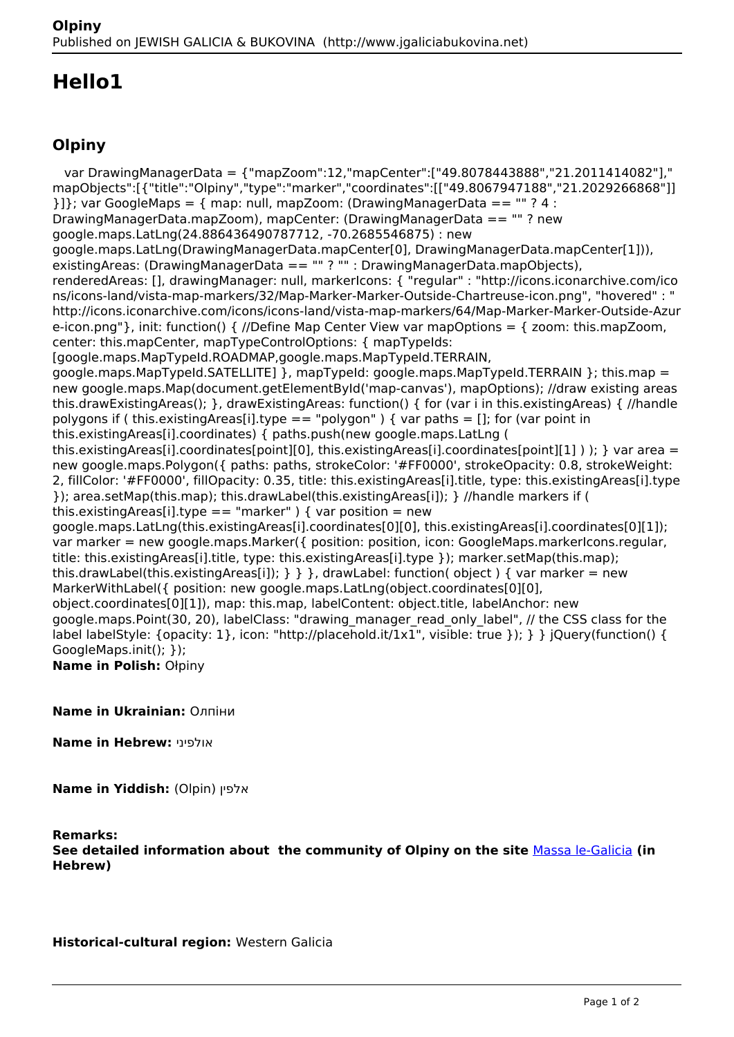## **Hello1**

## **Olpiny**

 var DrawingManagerData = {"mapZoom":12,"mapCenter":["49.8078443888","21.2011414082"]," mapObjects":[{"title":"Olpiny","type":"marker","coordinates":[["49.8067947188","21.2029266868"]]  ${}11$ : var GoogleMaps = { map: null, mapZoom: (DrawingManagerData == "" ? 4 : DrawingManagerData.mapZoom), mapCenter: (DrawingManagerData == "" ? new google.maps.LatLng(24.886436490787712, -70.2685546875) : new google.maps.LatLng(DrawingManagerData.mapCenter[0], DrawingManagerData.mapCenter[1])), existingAreas: (DrawingManagerData == "" ? "" : DrawingManagerData.mapObjects), renderedAreas: [], drawingManager: null, markerIcons: { "regular" : "http://icons.iconarchive.com/ico ns/icons-land/vista-map-markers/32/Map-Marker-Marker-Outside-Chartreuse-icon.png", "hovered" : " http://icons.iconarchive.com/icons/icons-land/vista-map-markers/64/Map-Marker-Marker-Outside-Azur e-icon.png"}, init: function() { //Define Map Center View var mapOptions = { zoom: this.mapZoom, center: this.mapCenter, mapTypeControlOptions: { mapTypeIds: [google.maps.MapTypeId.ROADMAP,google.maps.MapTypeId.TERRAIN, google.maps.MapTypeId.SATELLITE1 }, mapTypeId: google.maps.MapTypeId.TERRAIN }: this.map = new google.maps.Map(document.getElementById('map-canvas'), mapOptions); //draw existing areas this.drawExistingAreas(); }, drawExistingAreas: function() { for (var i in this.existingAreas) { //handle polygons if ( this.existingAreas[i].type == "polygon" ) { var paths = []; for (var point in this.existingAreas[i].coordinates) { paths.push(new google.maps.LatLng ( this.existingAreas[i].coordinates[point][0], this.existingAreas[i].coordinates[point][1] ) ); } var area = new google.maps.Polygon({ paths: paths, strokeColor: '#FF0000', strokeOpacity: 0.8, strokeWeight: 2, fillColor: '#FF0000', fillOpacity: 0.35, title: this.existingAreas[i].title, type: this.existingAreas[i].type }); area.setMap(this.map); this.drawLabel(this.existingAreas[i]); } //handle markers if ( this.existingAreas[i].type == "marker" ) { var position = new google.maps.LatLng(this.existingAreas[i].coordinates[0][0], this.existingAreas[i].coordinates[0][1]); var marker = new google.maps.Marker({ position: position, icon: GoogleMaps.markerIcons.regular, title: this.existingAreas[i].title, type: this.existingAreas[i].type }); marker.setMap(this.map); this.drawLabel(this.existingAreas[i]);  $\}$  } }, drawLabel: function( object ) { var marker = new MarkerWithLabel({ position: new google.maps.LatLng(object.coordinates[0][0], object.coordinates[0][1]), map: this.map, labelContent: object.title, labelAnchor: new google.maps.Point(30, 20), labelClass: "drawing\_manager\_read\_only\_label", // the CSS class for the label labelStyle: {opacity: 1}, icon: "http://placehold.it/1x1", visible: true }); } } jQuery(function() { GoogleMaps.init(); }); **Name in Polish:** Ołpiny

**Name in Ukrainian:** Олпіни

**Name in Hebrew:** אולפיני

**Name in Yiddish:** (Olpin) אלפין

## **Remarks:**

**See detailed information about the community of Olpiny on the site** [Massa le-Galicia](https://yadzehava.wixsite.com/galicia2/blank-12) **(in Hebrew)**

**Historical-cultural region:** Western Galicia